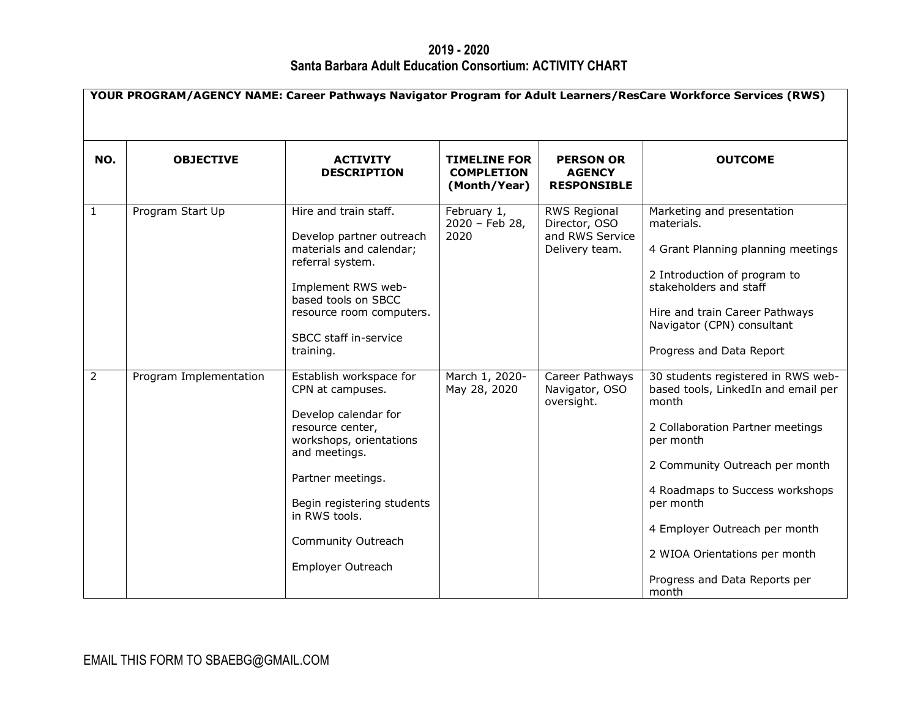**2019 - 2020 Santa Barbara Adult Education Consortium: ACTIVITY CHART**

| YOUR PROGRAM/AGENCY NAME: Career Pathways Navigator Program for Adult Learners/ResCare Workforce Services (RWS) |                        |                                                                                                                                                                                                                                                    |                                                          |                                                                           |                                                                                                                                                                                                                                                                                                                                   |  |
|-----------------------------------------------------------------------------------------------------------------|------------------------|----------------------------------------------------------------------------------------------------------------------------------------------------------------------------------------------------------------------------------------------------|----------------------------------------------------------|---------------------------------------------------------------------------|-----------------------------------------------------------------------------------------------------------------------------------------------------------------------------------------------------------------------------------------------------------------------------------------------------------------------------------|--|
| NO.                                                                                                             | <b>OBJECTIVE</b>       | <b>ACTIVITY</b><br><b>DESCRIPTION</b>                                                                                                                                                                                                              | <b>TIMELINE FOR</b><br><b>COMPLETION</b><br>(Month/Year) | <b>PERSON OR</b><br><b>AGENCY</b><br><b>RESPONSIBLE</b>                   | <b>OUTCOME</b>                                                                                                                                                                                                                                                                                                                    |  |
| $\mathbf{1}$                                                                                                    | Program Start Up       | Hire and train staff.<br>Develop partner outreach<br>materials and calendar;<br>referral system.<br>Implement RWS web-<br>based tools on SBCC<br>resource room computers.<br>SBCC staff in-service<br>training.                                    | February 1,<br>2020 - Feb 28,<br>2020                    | <b>RWS Regional</b><br>Director, OSO<br>and RWS Service<br>Delivery team. | Marketing and presentation<br>materials.<br>4 Grant Planning planning meetings<br>2 Introduction of program to<br>stakeholders and staff<br>Hire and train Career Pathways<br>Navigator (CPN) consultant<br>Progress and Data Report                                                                                              |  |
| 2                                                                                                               | Program Implementation | Establish workspace for<br>CPN at campuses.<br>Develop calendar for<br>resource center,<br>workshops, orientations<br>and meetings.<br>Partner meetings.<br>Begin registering students<br>in RWS tools.<br>Community Outreach<br>Employer Outreach | March 1, 2020-<br>May 28, 2020                           | Career Pathways<br>Navigator, OSO<br>oversight.                           | 30 students registered in RWS web-<br>based tools, LinkedIn and email per<br>month<br>2 Collaboration Partner meetings<br>per month<br>2 Community Outreach per month<br>4 Roadmaps to Success workshops<br>per month<br>4 Employer Outreach per month<br>2 WIOA Orientations per month<br>Progress and Data Reports per<br>month |  |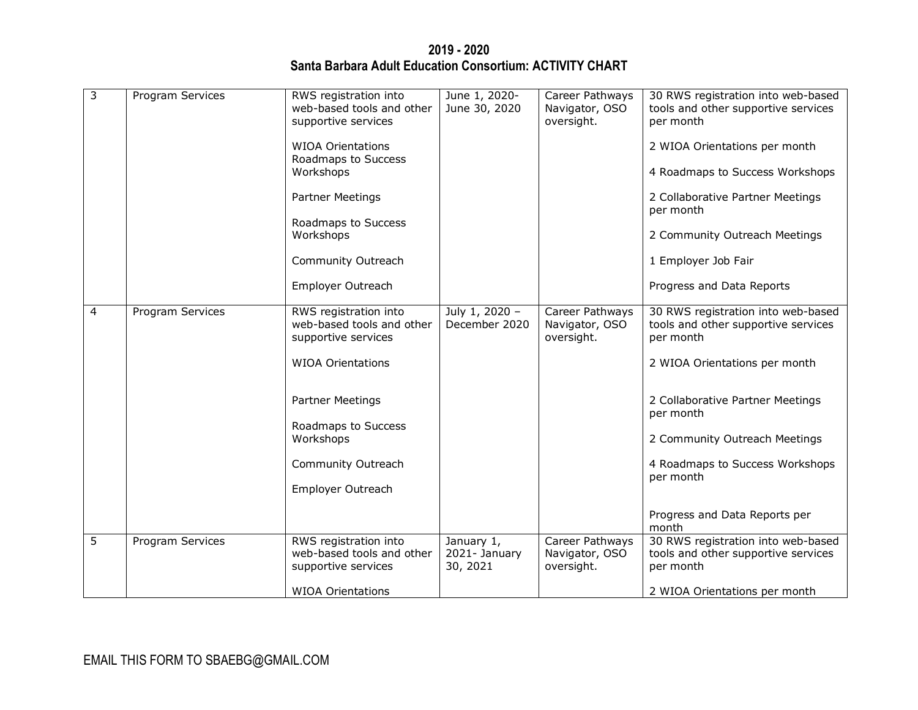**2019 - 2020 Santa Barbara Adult Education Consortium: ACTIVITY CHART**

| 3 | Program Services | RWS registration into                                                     | June 1, 2020-                           | Career Pathways                                 | 30 RWS registration into web-based                                                     |
|---|------------------|---------------------------------------------------------------------------|-----------------------------------------|-------------------------------------------------|----------------------------------------------------------------------------------------|
|   |                  | web-based tools and other<br>supportive services                          | June 30, 2020                           | Navigator, OSO<br>oversight.                    | tools and other supportive services<br>per month                                       |
|   |                  | <b>WIOA Orientations</b><br>Roadmaps to Success                           |                                         |                                                 | 2 WIOA Orientations per month                                                          |
|   |                  | Workshops                                                                 |                                         |                                                 | 4 Roadmaps to Success Workshops                                                        |
|   |                  | Partner Meetings                                                          |                                         |                                                 | 2 Collaborative Partner Meetings<br>per month                                          |
|   |                  | Roadmaps to Success<br>Workshops                                          |                                         |                                                 | 2 Community Outreach Meetings                                                          |
|   |                  | Community Outreach                                                        |                                         |                                                 | 1 Employer Job Fair                                                                    |
|   |                  | Employer Outreach                                                         |                                         |                                                 | Progress and Data Reports                                                              |
| 4 | Program Services | RWS registration into<br>web-based tools and other<br>supportive services | July 1, 2020 -<br>December 2020         | Career Pathways<br>Navigator, OSO<br>oversight. | 30 RWS registration into web-based<br>tools and other supportive services<br>per month |
|   |                  | <b>WIOA Orientations</b>                                                  |                                         |                                                 | 2 WIOA Orientations per month                                                          |
|   |                  | Partner Meetings                                                          |                                         |                                                 | 2 Collaborative Partner Meetings<br>per month                                          |
|   |                  | Roadmaps to Success<br>Workshops                                          |                                         |                                                 | 2 Community Outreach Meetings                                                          |
|   |                  | Community Outreach                                                        |                                         |                                                 | 4 Roadmaps to Success Workshops<br>per month                                           |
|   |                  | Employer Outreach                                                         |                                         |                                                 |                                                                                        |
|   |                  |                                                                           |                                         |                                                 | Progress and Data Reports per<br>month                                                 |
| 5 | Program Services | RWS registration into<br>web-based tools and other<br>supportive services | January 1,<br>2021- January<br>30, 2021 | Career Pathways<br>Navigator, OSO<br>oversight. | 30 RWS registration into web-based<br>tools and other supportive services<br>per month |
|   |                  | <b>WIOA Orientations</b>                                                  |                                         |                                                 | 2 WIOA Orientations per month                                                          |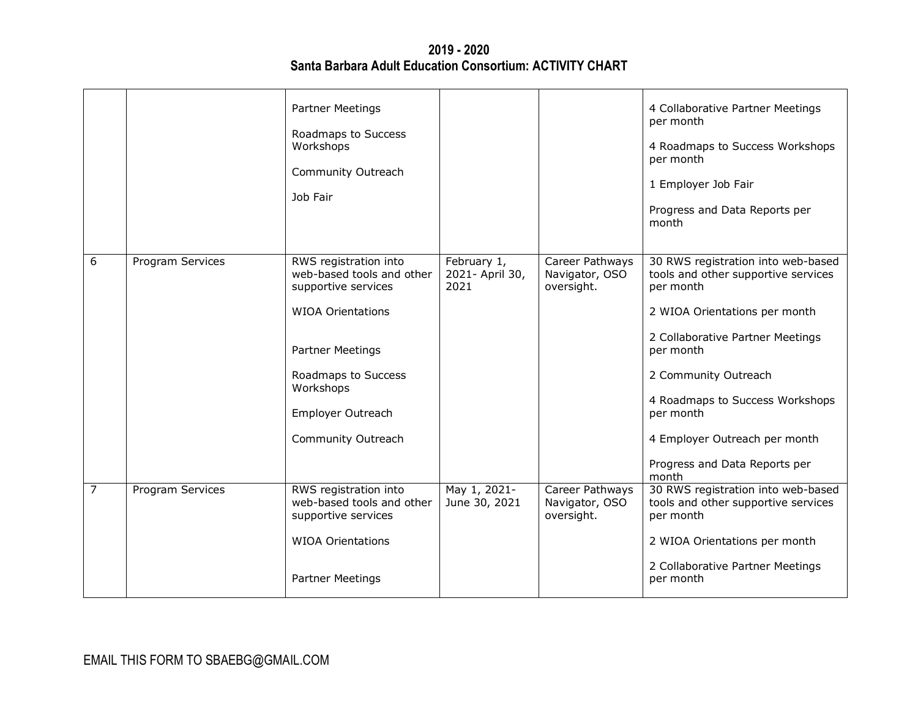**2019 - 2020 Santa Barbara Adult Education Consortium: ACTIVITY CHART**

|   |                  | Partner Meetings<br>Roadmaps to Success<br>Workshops<br>Community Outreach<br>Job Fair                                                                                                                   |                                        |                                                 | 4 Collaborative Partner Meetings<br>per month<br>4 Roadmaps to Success Workshops<br>per month<br>1 Employer Job Fair<br>Progress and Data Reports per<br>month                                                                                                                                                              |
|---|------------------|----------------------------------------------------------------------------------------------------------------------------------------------------------------------------------------------------------|----------------------------------------|-------------------------------------------------|-----------------------------------------------------------------------------------------------------------------------------------------------------------------------------------------------------------------------------------------------------------------------------------------------------------------------------|
| 6 | Program Services | RWS registration into<br>web-based tools and other<br>supportive services<br><b>WIOA Orientations</b><br>Partner Meetings<br>Roadmaps to Success<br>Workshops<br>Employer Outreach<br>Community Outreach | February 1,<br>2021- April 30,<br>2021 | Career Pathways<br>Navigator, OSO<br>oversight. | 30 RWS registration into web-based<br>tools and other supportive services<br>per month<br>2 WIOA Orientations per month<br>2 Collaborative Partner Meetings<br>per month<br>2 Community Outreach<br>4 Roadmaps to Success Workshops<br>per month<br>4 Employer Outreach per month<br>Progress and Data Reports per<br>month |
| 7 | Program Services | RWS registration into<br>web-based tools and other<br>supportive services<br><b>WIOA Orientations</b><br>Partner Meetings                                                                                | May 1, 2021-<br>June 30, 2021          | Career Pathways<br>Navigator, OSO<br>oversight. | 30 RWS registration into web-based<br>tools and other supportive services<br>per month<br>2 WIOA Orientations per month<br>2 Collaborative Partner Meetings<br>per month                                                                                                                                                    |